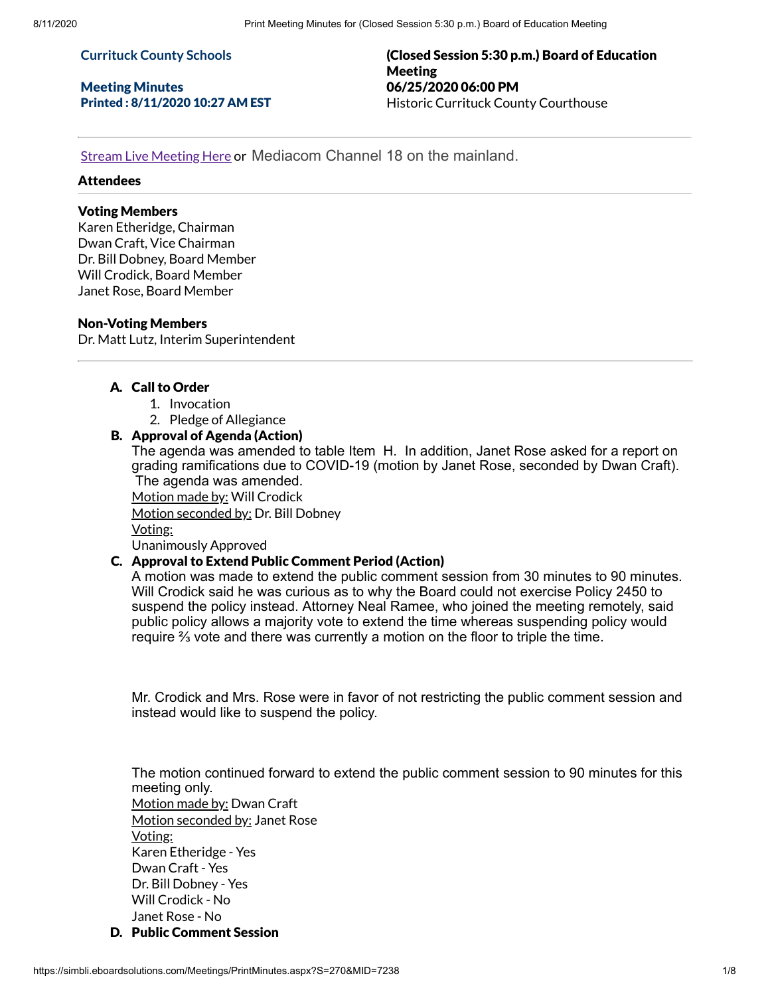#### **Currituck County Schools**

Meeting Minutes Printed : 8/11/2020 10:27 AM EST (Closed Session 5:30 p.m.) Board of Education Meeting 06/25/2020 06:00 PM Historic Currituck County Courthouse

Stream Live [Meeting](http://currituckcountync.iqm2.com/Citizens/default.aspx) Here or Mediacom Channel 18 on the mainland.

#### Attendees

# Voting Members

Karen Etheridge, Chairman Dwan Craft, Vice Chairman Dr. Bill Dobney, Board Member Will Crodick, Board Member Janet Rose, Board Member

#### Non-Voting Members

Dr. Matt Lutz, Interim Superintendent

## A. Call to Order

- 1. Invocation
- 2. Pledge of Allegiance

## B. Approval of Agenda (Action)

The agenda was amended to table Item H. In addition, Janet Rose asked for a report on grading ramifications due to COVID-19 (motion by Janet Rose, seconded by Dwan Craft). The agenda was amended.

Motion made by: Will Crodick

Motion seconded by: Dr. Bill Dobney

Voting:

Unanimously Approved

# C. Approval to Extend Public Comment Period (Action)

A motion was made to extend the public comment session from 30 minutes to 90 minutes. Will Crodick said he was curious as to why the Board could not exercise Policy 2450 to suspend the policy instead. Attorney Neal Ramee, who joined the meeting remotely, said public policy allows a majority vote to extend the time whereas suspending policy would require ⅔ vote and there was currently a motion on the floor to triple the time.

Mr. Crodick and Mrs. Rose were in favor of not restricting the public comment session and instead would like to suspend the policy.

The motion continued forward to extend the public comment session to 90 minutes for this meeting only. Motion made by: Dwan Craft Motion seconded by: Janet Rose Voting: Karen Etheridge - Yes Dwan Craft - Yes Dr. Bill Dobney - Yes Will Crodick - No Janet Rose - No

D. Public Comment Session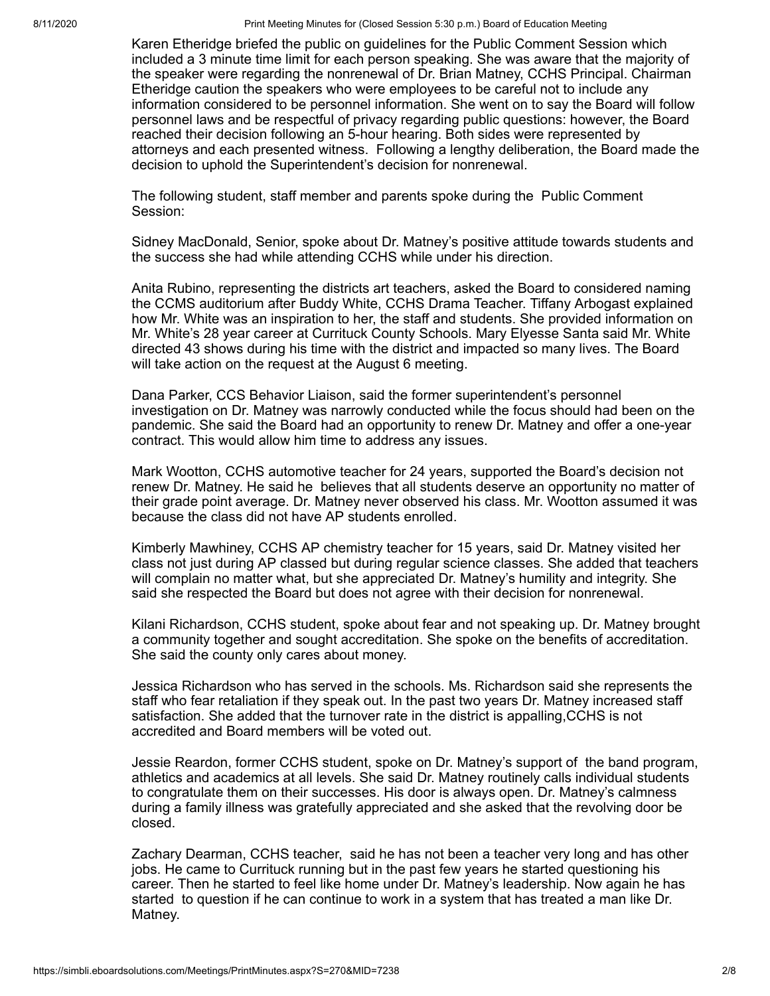8/11/2020 Print Meeting Minutes for (Closed Session 5:30 p.m.) Board of Education Meeting

Karen Etheridge briefed the public on guidelines for the Public Comment Session which included a 3 minute time limit for each person speaking. She was aware that the majority of the speaker were regarding the nonrenewal of Dr. Brian Matney, CCHS Principal. Chairman Etheridge caution the speakers who were employees to be careful not to include any information considered to be personnel information. She went on to say the Board will follow personnel laws and be respectful of privacy regarding public questions: however, the Board reached their decision following an 5-hour hearing. Both sides were represented by attorneys and each presented witness. Following a lengthy deliberation, the Board made the decision to uphold the Superintendent's decision for nonrenewal.

The following student, staff member and parents spoke during the Public Comment Session:

Sidney MacDonald, Senior, spoke about Dr. Matney's positive attitude towards students and the success she had while attending CCHS while under his direction.

Anita Rubino, representing the districts art teachers, asked the Board to considered naming the CCMS auditorium after Buddy White, CCHS Drama Teacher. Tiffany Arbogast explained how Mr. White was an inspiration to her, the staff and students. She provided information on Mr. White's 28 year career at Currituck County Schools. Mary Elyesse Santa said Mr. White directed 43 shows during his time with the district and impacted so many lives. The Board will take action on the request at the August 6 meeting.

Dana Parker, CCS Behavior Liaison, said the former superintendent's personnel investigation on Dr. Matney was narrowly conducted while the focus should had been on the pandemic. She said the Board had an opportunity to renew Dr. Matney and offer a one-year contract. This would allow him time to address any issues.

Mark Wootton, CCHS automotive teacher for 24 years, supported the Board's decision not renew Dr. Matney. He said he believes that all students deserve an opportunity no matter of their grade point average. Dr. Matney never observed his class. Mr. Wootton assumed it was because the class did not have AP students enrolled.

Kimberly Mawhiney, CCHS AP chemistry teacher for 15 years, said Dr. Matney visited her class not just during AP classed but during regular science classes. She added that teachers will complain no matter what, but she appreciated Dr. Matney's humility and integrity. She said she respected the Board but does not agree with their decision for nonrenewal.

Kilani Richardson, CCHS student, spoke about fear and not speaking up. Dr. Matney brought a community together and sought accreditation. She spoke on the benefits of accreditation. She said the county only cares about money.

Jessica Richardson who has served in the schools. Ms. Richardson said she represents the staff who fear retaliation if they speak out. In the past two years Dr. Matney increased staff satisfaction. She added that the turnover rate in the district is appalling,CCHS is not accredited and Board members will be voted out.

Jessie Reardon, former CCHS student, spoke on Dr. Matney's support of the band program, athletics and academics at all levels. She said Dr. Matney routinely calls individual students to congratulate them on their successes. His door is always open. Dr. Matney's calmness during a family illness was gratefully appreciated and she asked that the revolving door be closed.

Zachary Dearman, CCHS teacher, said he has not been a teacher very long and has other jobs. He came to Currituck running but in the past few years he started questioning his career. Then he started to feel like home under Dr. Matney's leadership. Now again he has started to question if he can continue to work in a system that has treated a man like Dr. Matney.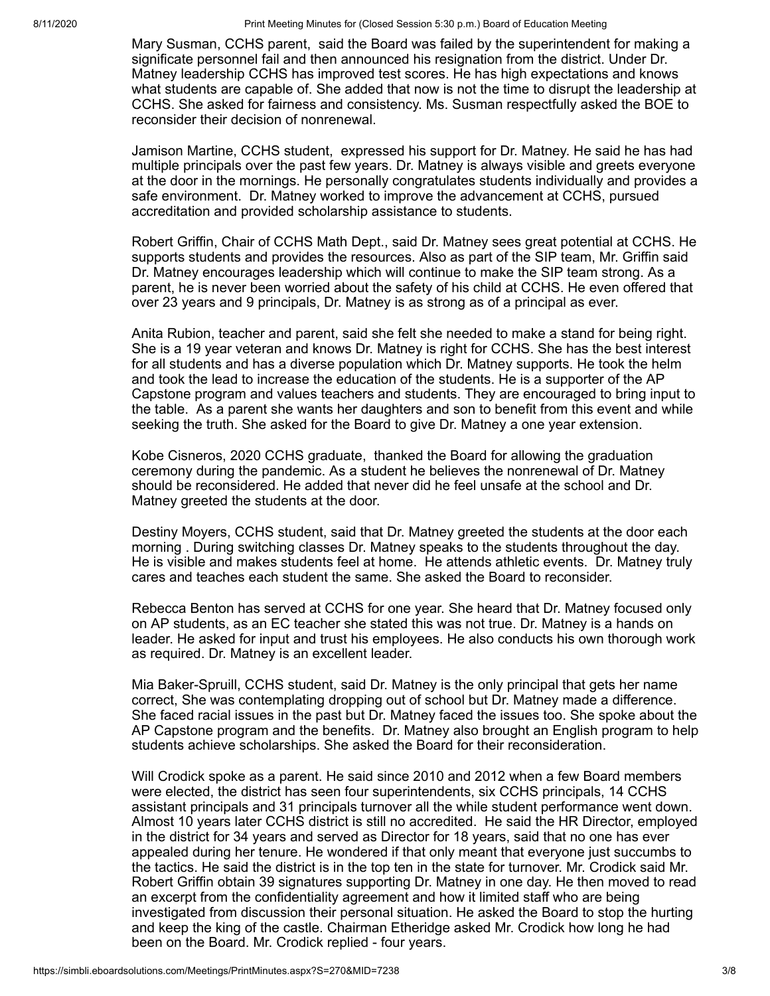Mary Susman, CCHS parent, said the Board was failed by the superintendent for making a significate personnel fail and then announced his resignation from the district. Under Dr. Matney leadership CCHS has improved test scores. He has high expectations and knows what students are capable of. She added that now is not the time to disrupt the leadership at CCHS. She asked for fairness and consistency. Ms. Susman respectfully asked the BOE to reconsider their decision of nonrenewal.

Jamison Martine, CCHS student, expressed his support for Dr. Matney. He said he has had multiple principals over the past few years. Dr. Matney is always visible and greets everyone at the door in the mornings. He personally congratulates students individually and provides a safe environment. Dr. Matney worked to improve the advancement at CCHS, pursued accreditation and provided scholarship assistance to students.

Robert Griffin, Chair of CCHS Math Dept., said Dr. Matney sees great potential at CCHS. He supports students and provides the resources. Also as part of the SIP team, Mr. Griffin said Dr. Matney encourages leadership which will continue to make the SIP team strong. As a parent, he is never been worried about the safety of his child at CCHS. He even offered that over 23 years and 9 principals, Dr. Matney is as strong as of a principal as ever.

Anita Rubion, teacher and parent, said she felt she needed to make a stand for being right. She is a 19 year veteran and knows Dr. Matney is right for CCHS. She has the best interest for all students and has a diverse population which Dr. Matney supports. He took the helm and took the lead to increase the education of the students. He is a supporter of the AP Capstone program and values teachers and students. They are encouraged to bring input to the table. As a parent she wants her daughters and son to benefit from this event and while seeking the truth. She asked for the Board to give Dr. Matney a one year extension.

Kobe Cisneros, 2020 CCHS graduate, thanked the Board for allowing the graduation ceremony during the pandemic. As a student he believes the nonrenewal of Dr. Matney should be reconsidered. He added that never did he feel unsafe at the school and Dr. Matney greeted the students at the door.

Destiny Moyers, CCHS student, said that Dr. Matney greeted the students at the door each morning . During switching classes Dr. Matney speaks to the students throughout the day. He is visible and makes students feel at home. He attends athletic events. Dr. Matney truly cares and teaches each student the same. She asked the Board to reconsider.

Rebecca Benton has served at CCHS for one year. She heard that Dr. Matney focused only on AP students, as an EC teacher she stated this was not true. Dr. Matney is a hands on leader. He asked for input and trust his employees. He also conducts his own thorough work as required. Dr. Matney is an excellent leader.

Mia Baker-Spruill, CCHS student, said Dr. Matney is the only principal that gets her name correct, She was contemplating dropping out of school but Dr. Matney made a difference. She faced racial issues in the past but Dr. Matney faced the issues too. She spoke about the AP Capstone program and the benefits. Dr. Matney also brought an English program to help students achieve scholarships. She asked the Board for their reconsideration.

Will Crodick spoke as a parent. He said since 2010 and 2012 when a few Board members were elected, the district has seen four superintendents, six CCHS principals, 14 CCHS assistant principals and 31 principals turnover all the while student performance went down. Almost 10 years later CCHS district is still no accredited. He said the HR Director, employed in the district for 34 years and served as Director for 18 years, said that no one has ever appealed during her tenure. He wondered if that only meant that everyone just succumbs to the tactics. He said the district is in the top ten in the state for turnover. Mr. Crodick said Mr. Robert Griffin obtain 39 signatures supporting Dr. Matney in one day. He then moved to read an excerpt from the confidentiality agreement and how it limited staff who are being investigated from discussion their personal situation. He asked the Board to stop the hurting and keep the king of the castle. Chairman Etheridge asked Mr. Crodick how long he had been on the Board. Mr. Crodick replied - four years.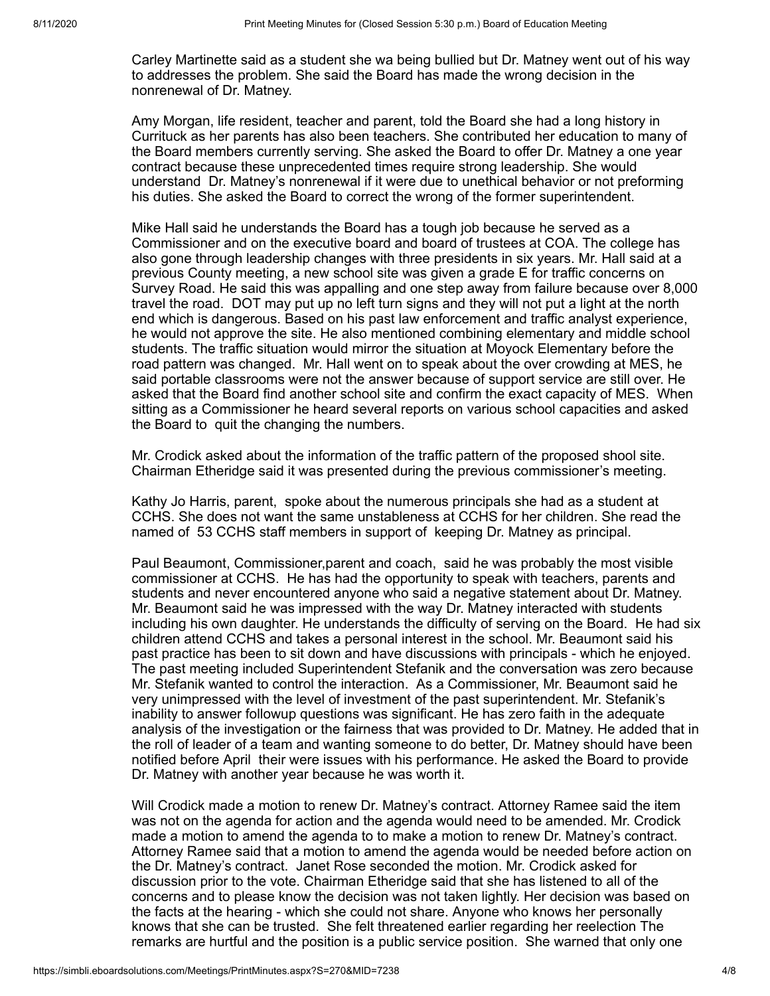Carley Martinette said as a student she wa being bullied but Dr. Matney went out of his way to addresses the problem. She said the Board has made the wrong decision in the nonrenewal of Dr. Matney.

Amy Morgan, life resident, teacher and parent, told the Board she had a long history in Currituck as her parents has also been teachers. She contributed her education to many of the Board members currently serving. She asked the Board to offer Dr. Matney a one year contract because these unprecedented times require strong leadership. She would understand Dr. Matney's nonrenewal if it were due to unethical behavior or not preforming his duties. She asked the Board to correct the wrong of the former superintendent.

Mike Hall said he understands the Board has a tough job because he served as a Commissioner and on the executive board and board of trustees at COA. The college has also gone through leadership changes with three presidents in six years. Mr. Hall said at a previous County meeting, a new school site was given a grade E for traffic concerns on Survey Road. He said this was appalling and one step away from failure because over 8,000 travel the road. DOT may put up no left turn signs and they will not put a light at the north end which is dangerous. Based on his past law enforcement and traffic analyst experience, he would not approve the site. He also mentioned combining elementary and middle school students. The traffic situation would mirror the situation at Moyock Elementary before the road pattern was changed. Mr. Hall went on to speak about the over crowding at MES, he said portable classrooms were not the answer because of support service are still over. He asked that the Board find another school site and confirm the exact capacity of MES. When sitting as a Commissioner he heard several reports on various school capacities and asked the Board to quit the changing the numbers.

Mr. Crodick asked about the information of the traffic pattern of the proposed shool site. Chairman Etheridge said it was presented during the previous commissioner's meeting.

Kathy Jo Harris, parent, spoke about the numerous principals she had as a student at CCHS. She does not want the same unstableness at CCHS for her children. She read the named of 53 CCHS staff members in support of keeping Dr. Matney as principal.

Paul Beaumont, Commissioner,parent and coach, said he was probably the most visible commissioner at CCHS. He has had the opportunity to speak with teachers, parents and students and never encountered anyone who said a negative statement about Dr. Matney. Mr. Beaumont said he was impressed with the way Dr. Matney interacted with students including his own daughter. He understands the difficulty of serving on the Board. He had six children attend CCHS and takes a personal interest in the school. Mr. Beaumont said his past practice has been to sit down and have discussions with principals - which he enjoyed. The past meeting included Superintendent Stefanik and the conversation was zero because Mr. Stefanik wanted to control the interaction. As a Commissioner, Mr. Beaumont said he very unimpressed with the level of investment of the past superintendent. Mr. Stefanik's inability to answer followup questions was significant. He has zero faith in the adequate analysis of the investigation or the fairness that was provided to Dr. Matney. He added that in the roll of leader of a team and wanting someone to do better, Dr. Matney should have been notified before April their were issues with his performance. He asked the Board to provide Dr. Matney with another year because he was worth it.

Will Crodick made a motion to renew Dr. Matney's contract. Attorney Ramee said the item was not on the agenda for action and the agenda would need to be amended. Mr. Crodick made a motion to amend the agenda to to make a motion to renew Dr. Matney's contract. Attorney Ramee said that a motion to amend the agenda would be needed before action on the Dr. Matney's contract. Janet Rose seconded the motion. Mr. Crodick asked for discussion prior to the vote. Chairman Etheridge said that she has listened to all of the concerns and to please know the decision was not taken lightly. Her decision was based on the facts at the hearing - which she could not share. Anyone who knows her personally knows that she can be trusted. She felt threatened earlier regarding her reelection The remarks are hurtful and the position is a public service position. She warned that only one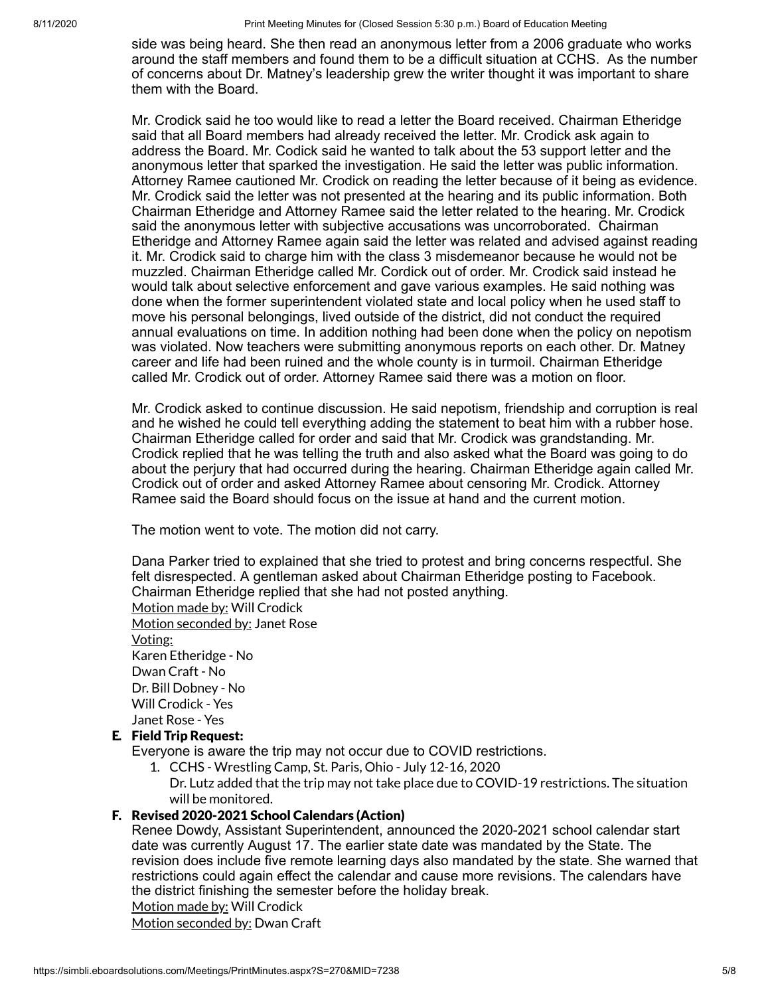8/11/2020 Print Meeting Minutes for (Closed Session 5:30 p.m.) Board of Education Meeting

side was being heard. She then read an anonymous letter from a 2006 graduate who works around the staff members and found them to be a difficult situation at CCHS. As the number of concerns about Dr. Matney's leadership grew the writer thought it was important to share them with the Board.

Mr. Crodick said he too would like to read a letter the Board received. Chairman Etheridge said that all Board members had already received the letter. Mr. Crodick ask again to address the Board. Mr. Codick said he wanted to talk about the 53 support letter and the anonymous letter that sparked the investigation. He said the letter was public information. Attorney Ramee cautioned Mr. Crodick on reading the letter because of it being as evidence. Mr. Crodick said the letter was not presented at the hearing and its public information. Both Chairman Etheridge and Attorney Ramee said the letter related to the hearing. Mr. Crodick said the anonymous letter with subjective accusations was uncorroborated. Chairman Etheridge and Attorney Ramee again said the letter was related and advised against reading it. Mr. Crodick said to charge him with the class 3 misdemeanor because he would not be muzzled. Chairman Etheridge called Mr. Cordick out of order. Mr. Crodick said instead he would talk about selective enforcement and gave various examples. He said nothing was done when the former superintendent violated state and local policy when he used staff to move his personal belongings, lived outside of the district, did not conduct the required annual evaluations on time. In addition nothing had been done when the policy on nepotism was violated. Now teachers were submitting anonymous reports on each other. Dr. Matney career and life had been ruined and the whole county is in turmoil. Chairman Etheridge called Mr. Crodick out of order. Attorney Ramee said there was a motion on floor.

Mr. Crodick asked to continue discussion. He said nepotism, friendship and corruption is real and he wished he could tell everything adding the statement to beat him with a rubber hose. Chairman Etheridge called for order and said that Mr. Crodick was grandstanding. Mr. Crodick replied that he was telling the truth and also asked what the Board was going to do about the perjury that had occurred during the hearing. Chairman Etheridge again called Mr. Crodick out of order and asked Attorney Ramee about censoring Mr. Crodick. Attorney Ramee said the Board should focus on the issue at hand and the current motion.

The motion went to vote. The motion did not carry.

Dana Parker tried to explained that she tried to protest and bring concerns respectful. She felt disrespected. A gentleman asked about Chairman Etheridge posting to Facebook. Chairman Etheridge replied that she had not posted anything.

Motion made by: Will Crodick

Motion seconded by: Janet Rose Voting: Karen Etheridge - No Dwan Craft - No Dr. Bill Dobney - No Will Crodick - Yes Janet Rose - Yes

## E. Field Trip Request:

Everyone is aware the trip may not occur due to COVID restrictions.

- 1. CCHS Wrestling Camp, St. Paris, Ohio July 12-16, 2020
- Dr. Lutz added that the trip may not take place due to COVID-19 restrictions. The situation will be monitored.

## F. Revised 2020-2021 School Calendars (Action)

Renee Dowdy, Assistant Superintendent, announced the 2020-2021 school calendar start date was currently August 17. The earlier state date was mandated by the State. The revision does include five remote learning days also mandated by the state. She warned that restrictions could again effect the calendar and cause more revisions. The calendars have the district finishing the semester before the holiday break.

Motion made by: Will Crodick

Motion seconded by: Dwan Craft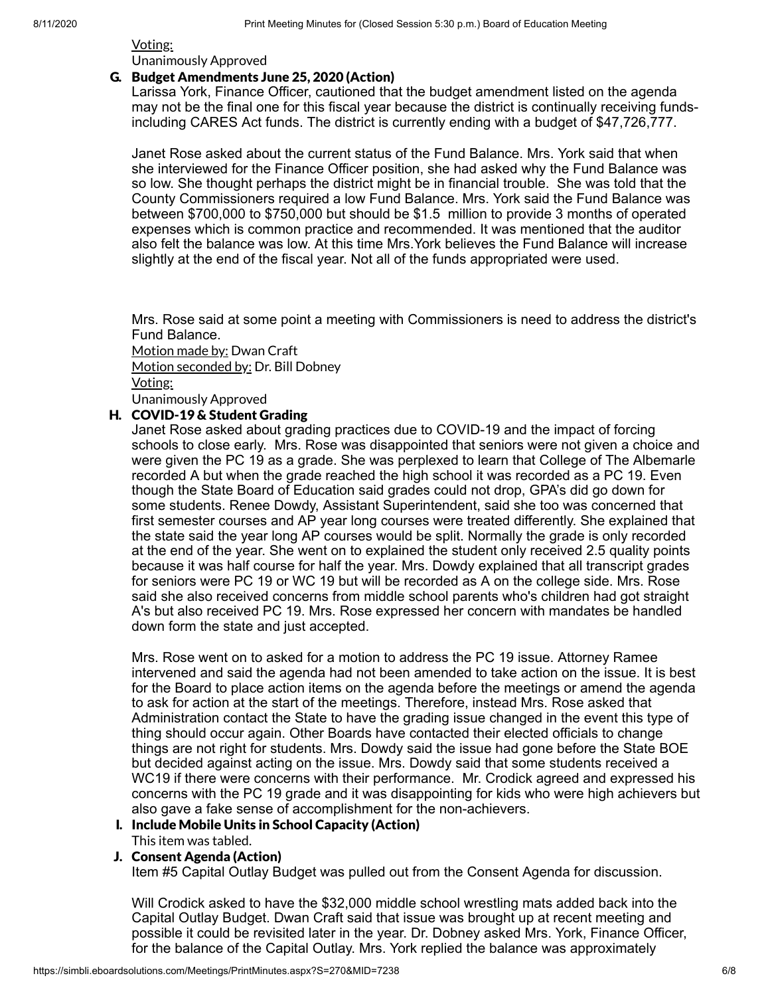Voting: Unanimously Approved

#### G. Budget Amendments June 25, 2020 (Action)

Larissa York, Finance Officer, cautioned that the budget amendment listed on the agenda may not be the final one for this fiscal year because the district is continually receiving fundsincluding CARES Act funds. The district is currently ending with a budget of \$47,726,777.

Janet Rose asked about the current status of the Fund Balance. Mrs. York said that when she interviewed for the Finance Officer position, she had asked why the Fund Balance was so low. She thought perhaps the district might be in financial trouble. She was told that the County Commissioners required a low Fund Balance. Mrs. York said the Fund Balance was between \$700,000 to \$750,000 but should be \$1.5 million to provide 3 months of operated expenses which is common practice and recommended. It was mentioned that the auditor also felt the balance was low. At this time Mrs.York believes the Fund Balance will increase slightly at the end of the fiscal year. Not all of the funds appropriated were used.

Mrs. Rose said at some point a meeting with Commissioners is need to address the district's Fund Balance.

Motion made by: Dwan Craft Motion seconded by: Dr. Bill Dobney Voting: Unanimously Approved

## H. COVID-19 & Student Grading

Janet Rose asked about grading practices due to COVID-19 and the impact of forcing schools to close early. Mrs. Rose was disappointed that seniors were not given a choice and were given the PC 19 as a grade. She was perplexed to learn that College of The Albemarle recorded A but when the grade reached the high school it was recorded as a PC 19. Even though the State Board of Education said grades could not drop, GPA's did go down for some students. Renee Dowdy, Assistant Superintendent, said she too was concerned that first semester courses and AP year long courses were treated differently. She explained that the state said the year long AP courses would be split. Normally the grade is only recorded at the end of the year. She went on to explained the student only received 2.5 quality points because it was half course for half the year. Mrs. Dowdy explained that all transcript grades for seniors were PC 19 or WC 19 but will be recorded as A on the college side. Mrs. Rose said she also received concerns from middle school parents who's children had got straight A's but also received PC 19. Mrs. Rose expressed her concern with mandates be handled down form the state and just accepted.

Mrs. Rose went on to asked for a motion to address the PC 19 issue. Attorney Ramee intervened and said the agenda had not been amended to take action on the issue. It is best for the Board to place action items on the agenda before the meetings or amend the agenda to ask for action at the start of the meetings. Therefore, instead Mrs. Rose asked that Administration contact the State to have the grading issue changed in the event this type of thing should occur again. Other Boards have contacted their elected officials to change things are not right for students. Mrs. Dowdy said the issue had gone before the State BOE but decided against acting on the issue. Mrs. Dowdy said that some students received a WC19 if there were concerns with their performance. Mr. Crodick agreed and expressed his concerns with the PC 19 grade and it was disappointing for kids who were high achievers but also gave a fake sense of accomplishment for the non-achievers.

#### I. Include Mobile Units in School Capacity (Action) This item was tabled.

J. Consent Agenda (Action)

Item #5 Capital Outlay Budget was pulled out from the Consent Agenda for discussion.

Will Crodick asked to have the \$32,000 middle school wrestling mats added back into the Capital Outlay Budget. Dwan Craft said that issue was brought up at recent meeting and possible it could be revisited later in the year. Dr. Dobney asked Mrs. York, Finance Officer, for the balance of the Capital Outlay. Mrs. York replied the balance was approximately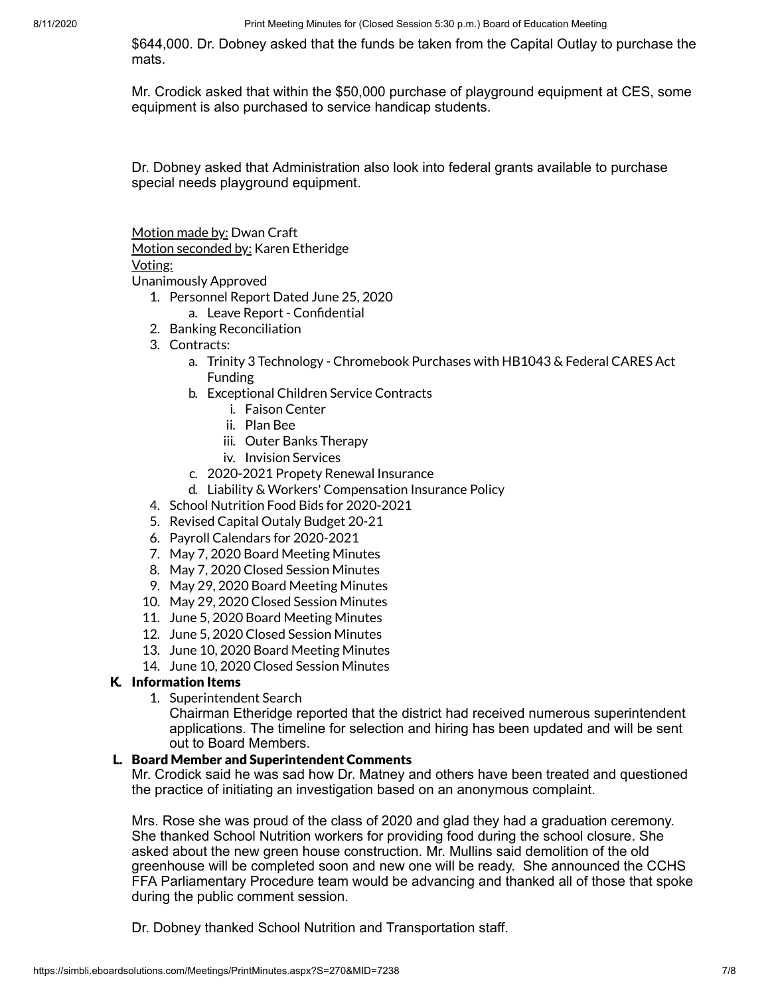\$644,000. Dr. Dobney asked that the funds be taken from the Capital Outlay to purchase the mats.

Mr. Crodick asked that within the \$50,000 purchase of playground equipment at CES, some equipment is also purchased to service handicap students.

Dr. Dobney asked that Administration also look into federal grants available to purchase special needs playground equipment.

Motion made by: Dwan Craft

Motion seconded by: Karen Etheridge

## Voting:

Unanimously Approved

- 1. Personnel Report Dated June 25, 2020
	- a. Leave Report Confidential
- 2. Banking Reconciliation
- 3. Contracts:
	- a. Trinity 3 Technology Chromebook Purchases with HB1043 & Federal CARES Act Funding
	- b. Exceptional Children Service Contracts
		- i. Faison Center
		- ii. Plan Bee
		- iii. Outer Banks Therapy
		- iv. Invision Services
	- c. 2020-2021 Propety Renewal Insurance
	- d. Liability & Workers' Compensation Insurance Policy
- 4. School Nutrition Food Bids for 2020-2021
- 5. Revised Capital Outaly Budget 20-21
- 6. Payroll Calendars for 2020-2021
- 7. May 7, 2020 Board Meeting Minutes
- 8. May 7, 2020 Closed Session Minutes
- 9. May 29, 2020 Board Meeting Minutes
- 10. May 29, 2020 Closed Session Minutes
- 11. June 5, 2020 Board Meeting Minutes
- 12. June 5, 2020 Closed Session Minutes
- 13. June 10, 2020 Board Meeting Minutes
- 14. June 10, 2020 Closed Session Minutes

## K. Information Items

1. Superintendent Search

Chairman Etheridge reported that the district had received numerous superintendent applications. The timeline for selection and hiring has been updated and will be sent out to Board Members.

## L. Board Member and Superintendent Comments

Mr. Crodick said he was sad how Dr. Matney and others have been treated and questioned the practice of initiating an investigation based on an anonymous complaint.

Mrs. Rose she was proud of the class of 2020 and glad they had a graduation ceremony. She thanked School Nutrition workers for providing food during the school closure. She asked about the new green house construction. Mr. Mullins said demolition of the old greenhouse will be completed soon and new one will be ready. She announced the CCHS FFA Parliamentary Procedure team would be advancing and thanked all of those that spoke during the public comment session.

Dr. Dobney thanked School Nutrition and Transportation staff.